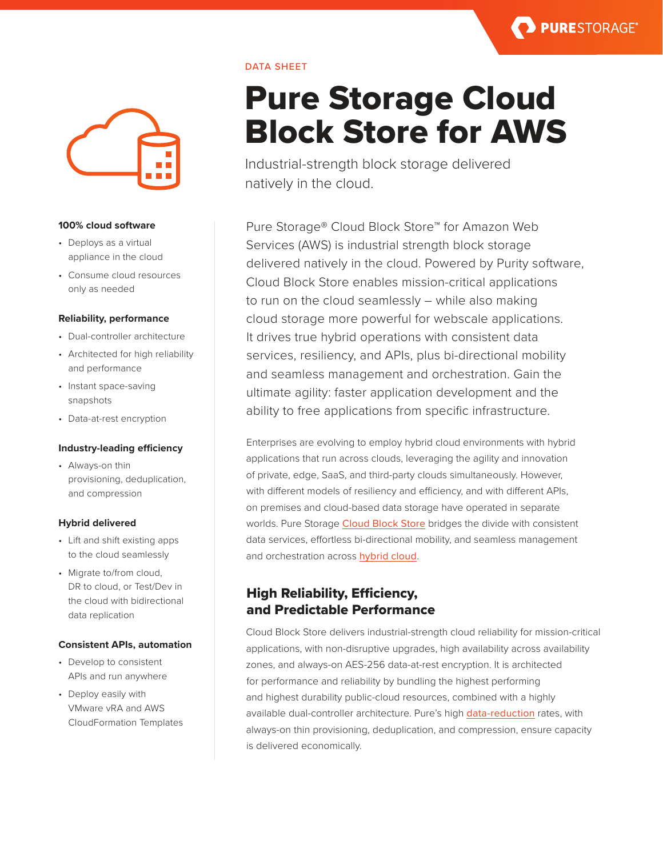**PURESTORAGE®** 



#### **100% cloud software**

- Deploys as a virtual appliance in the cloud
- Consume cloud resources only as needed

#### **Reliability, performance**

- Dual-controller architecture
- Architected for high reliability and performance
- Instant space-saving snapshots
- Data-at-rest encryption

#### **Industry-leading efficiency**

• Always-on thin provisioning, deduplication, and compression

#### **Hybrid delivered**

- Lift and shift existing apps to the cloud seamlessly
- Migrate to/from cloud, DR to cloud, or Test/Dev in the cloud with bidirectional data replication

#### **Consistent APIs, automation**

- Develop to consistent APIs and run anywhere
- Deploy easily with VMware vRA and AWS CloudFormation Templates

# Pure Storage Cloud Block Store for AWS

Industrial-strength block storage delivered natively in the cloud.

DATA SHEET

Pure Storage® Cloud Block Store™️ for Amazon Web Services (AWS) is industrial strength block storage delivered natively in the cloud. Powered by Purity software, Cloud Block Store enables mission-critical applications to run on the cloud seamlessly – while also making cloud storage more powerful for webscale applications. It drives true hybrid operations with consistent data services, resiliency, and APIs, plus bi-directional mobility and seamless management and orchestration. Gain the ultimate agility: faster application development and the ability to free applications from specific infrastructure.

Enterprises are evolving to employ hybrid cloud environments with hybrid applications that run across clouds, leveraging the agility and innovation of private, edge, SaaS, and third-party clouds simultaneously. However, with different models of resiliency and efficiency, and with different APIs, on premises and cloud-based data storage have operated in separate worlds. Pure Storage [Cloud Block Store](https://www.purestorage.com/products/cloud-block-storage.html) bridges the divide with consistent data services, effortless bi-directional mobility, and seamless management and orchestration across [hybrid cloud](https://www.purestorage.com/solutions/infrastructure/hybrid-cloud.html).

## High Reliability, Efficiency, and Predictable Performance

Cloud Block Store delivers industrial-strength cloud reliability for mission-critical applications, with non-disruptive upgrades, high availability across availability zones, and always-on AES-256 data-at-rest encryption. It is architected for performance and reliability by bundling the highest performing and highest durability public-cloud resources, combined with a highly available dual-controller architecture. Pure's high [data-reduction](https://www.purestorage.com/products/purity/purity-reduce.html) rates, with always-on thin provisioning, deduplication, and compression, ensure capacity is delivered economically.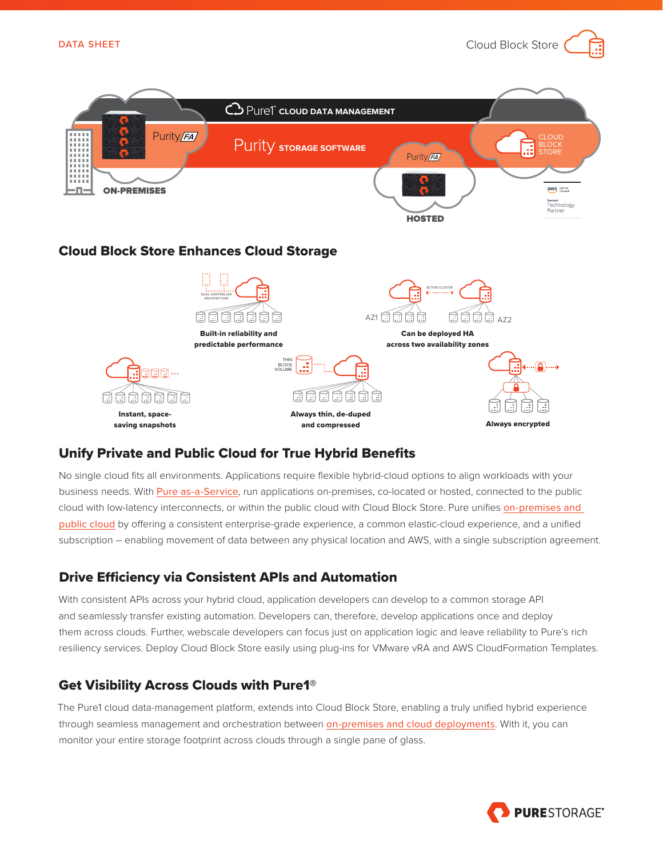Cloud Block Store



# Unify Private and Public Cloud for True Hybrid Benefits

No single cloud fits all environments. Applications require flexible hybrid-cloud options to align workloads with your business needs. With [Pure as-a-Service](https://www.purestorage.com/products/evergreen-storage-service.html), run applications on-premises, co-located or hosted, connected to the public cloud with low-latency interconnects, or within the public cloud with Cloud Block Store. Pure unifies [on-premises and](https://www.purestorage.com/solutions/cloud/data-storage.html)  [public cloud](https://www.purestorage.com/solutions/cloud/data-storage.html) by offering a consistent enterprise-grade experience, a common elastic-cloud experience, and a unified subscription – enabling movement of data between any physical location and AWS, with a single subscription agreement.

# Drive Efficiency via Consistent APIs and Automation

With consistent APIs across your hybrid cloud, application developers can develop to a common storage API and seamlessly transfer existing automation. Developers can, therefore, develop applications once and deploy them across clouds. Further, webscale developers can focus just on application logic and leave reliability to Pure's rich resiliency services. Deploy Cloud Block Store easily using plug-ins for VMware vRA and AWS CloudFormation Templates.

## Get Visibility Across Clouds with Pure1®

The Pure1 cloud data-management platform, extends into Cloud Block Store, enabling a truly unified hybrid experience through seamless management and orchestration between [on-premises and cloud deployments](https://www.purestorage.com/products/cloud-block-storage.html). With it, you can monitor your entire storage footprint across clouds through a single pane of glass.